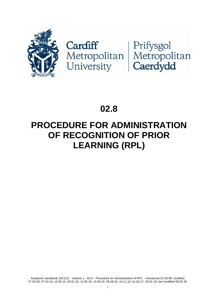

# **02.8**

# **PROCEDURE FOR ADMINISTRATION OF RECOGNITION OF PRIOR LEARNING (RPL)**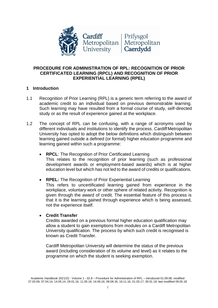

# **PROCEDURE FOR ADMINISTRATION OF RPL: RECOGNITION OF PRIOR CERTIFICATED LEARNING (RPCL) AND RECOGNITION OF PRIOR EXPERIENTIAL LEARNING (RPEL)**

# **1 Introduction**

- 1.1 Recognition of Prior Learning (RPL) is a generic term referring to the award of academic credit to an individual based on previous demonstrable learning. Such learning may have resulted from a formal course of study, self-directed study or as the result of experience gained at the workplace.
- 1.2 The concept of RPL can be confusing, with a range of acronyms used by different individuals and institutions to identify the process. Cardiff Metropolitan University has opted to adopt the below definitions which distinguish between learning gained outside a defined (or formal) higher education programme and learning gained within such a programme:
	- **RPCL**: The Recognition of Prior Certificated Learning This relates to the recognition of prior learning (such as professional development awards or employment-based awards) which is at higher education level but which has not led to the award of credits or qualifications.
	- **RPEL:** The Recognition of Prior Experiential Learning This refers to uncertificated learning gained from experience in the workplace, voluntary work or other sphere of related activity. Recognition is given through the award of credit. The essential feature of this process is that it is the learning gained through experience which is being assessed, not the experience itself.

# • **Credit Transfer**

Credits awarded on a previous formal higher education qualification may allow a student to gain exemptions from modules on a Cardiff Metropolitan University qualification. The process by which such credit is recognised is known as Credit Transfer.

Cardiff Metropolitan University will determine the status of the previous award (including consideration of its volume and level) as it relates to the programme on which the student is seeking exemption.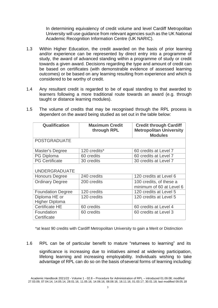In determining equivalency of credit volume and level Cardiff Metropolitan University will use guidance from relevant agencies such as the UK National Academic Recognition Information Centre (UK NARIC).

- 1.3 Within Higher Education, the credit awarded on the basis of prior learning and/or experience can be represented by direct entry into a programme of study, the award of advanced standing within a programme of study or credit towards a given award. Decisions regarding the type and amount of credit can be based on certificates (with demonstrable evidence of assessed learning outcomes) or be based on any learning resulting from experience and which is considered to be worthy of credit.
- 1.4 Any resultant credit is regarded to be of equal standing to that awarded to learners following a more traditional route towards an award (e.g. through taught or distance learning modules).

| <b>Qualification</b>                          | <b>Maximum Credit</b><br>through RPL | <b>Credit through Cardiff</b><br><b>Metropolitan University</b><br><b>Modules</b> |
|-----------------------------------------------|--------------------------------------|-----------------------------------------------------------------------------------|
| <b>POSTGRADUATE</b>                           |                                      |                                                                                   |
| Master's Degree                               | 120 credits*                         | 60 credits at Level 7                                                             |
| <b>PG Diploma</b>                             | 60 credits                           | 60 credits at Level 7                                                             |
| <b>PG Certificate</b>                         | 30 credits                           | 30 credits at Level 7                                                             |
| <b>UNDERGRADUATE</b><br><b>Honours Degree</b> | 240 credits                          | 120 credits at Level 6                                                            |
| <b>Ordinary Degree</b>                        | 200 credits                          | 100 credits, of these a<br>minimum of 60 at Level 6                               |
| <b>Foundation Degree</b>                      | 120 credits                          | 120 credits at Level 5                                                            |
| Diploma HE or<br><b>Higher Diploma</b>        | 120 credits                          | 120 credits at Level 5                                                            |
| <b>Certificate HE</b>                         | 60 credits                           | 60 credits at Level 4                                                             |
| Foundation<br>Certificate                     | 60 credits                           | 60 credits at Level 3                                                             |

1.5 The volume of credits that may be recognised through the RPL process is dependent on the award being studied as set out in the table below:

\*at least 90 credits with Cardiff Metropolitan University to gain a Merit or Distinction

1.6 RPL can be of particular benefit to mature "returnees to learning" and its

significance is increasing due to initiatives aimed at widening participation, lifelong learning and increasing employability. Individuals wishing to take advantage of RPL can do so on the basis ofseveral forms of learning including:

Academic Handbook 2021/22 - Volume 1 - 02.8 – Procedure for Administration of RPL – introduced 01.09.08; modified 27.03.09, 07.04.14, 14.05.14, 28.01.16, 11.05.16, 14.06.16, 08.08.16, 16.11.16, 01.03.17, 30.01.18; last modified 09.05.18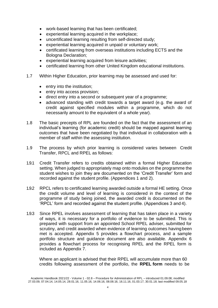- work-based learning that has been certificated;
- experiential learning acquired in the workplace;
- uncertificated learning resulting from self-directed study;
- experiential learning acquired in unpaid or voluntary work;
- certificated learning from overseas institutions including ECTS and the Bologna Declaration;
- experiential learning acquired from leisure activities;
- certificated learning from other United Kingdom educational institutions.
- 1.7 Within Higher Education, prior learning may be assessed and used for:
	- entry into the institution;
	- entry into access provision;
	- direct entry into a second or subsequent year of a programme;
	- advanced standing with credit towards a target award (e.g. the award of credit against specified modules within a programme, which do not necessarily amount to the equivalent of a whole year).
- 1.8 The basic precepts of RPL are founded on the fact that the assessment of an individual's learning (for academic credit) should be mapped against learning outcomes that have been negotiated by that individual in collaboration with a member of staff within the assessing institution.
- 1.9 The process by which prior learning is considered varies between Credit Transfer, RPCL and RPEL as follows:
- 1.9.1 Credit Transfer refers to credits obtained within a formal Higher Education setting. When judged to appropriately map onto modules on the programme the student wishes to join they are documented on the 'Credit Transfer' form and recorded against the student profile. (Appendices 1 and 2).
- 1.9.2 RPCL refers to certificated learning awarded outside a formal HE setting. Once the credit volume and level of learning is considered in the context of the programme of study being joined, the awarded credit is documented on the 'RPCL' form and recorded against the student profile. (Appendices 3 and 4).
- 1.9.3 Since RPEL involves assessment of learning that has taken place in a variety of ways, it is necessary for a portfolio of evidence to be submitted. This is prepared with support from an appointed School RPEL adviser, submitted for scrutiny, and credit awarded when evidence of learning outcomes havingbeen met is accepted. Appendix 5 provides a flowchart process, and a sample portfolio structure and guidance document are also available. Appendix 6 provides a flowchart process for recognising RPEL and the RPEL form is included as Appendix 7.

Where an applicant is advised that their RPEL will accumulate more than 60 credits following assessment of the portfolio, the **RPEL form** needs to be

Academic Handbook 2021/22 - Volume 1 - 02.8 – Procedure for Administration of RPL – introduced 01.09.08; modified 27.03.09, 07.04.14, 14.05.14, 28.01.16, 11.05.16, 14.06.16, 08.08.16, 16.11.16, 01.03.17, 30.01.18; last modified 09.05.18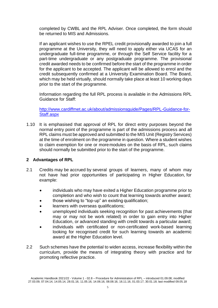completed by CWBL and the RPL Adviser. Once completed, the form should be returned to MIS and Admissions.

If an applicant wishes to use the RPEL credit provisionally awarded to join a full programme at the University, they will need to apply either via UCAS for an undergraduate full-time programme, or through the Self Service facility for a part-time undergraduate or any postgraduate programme. The provisional credit awarded needs to be confirmed before the start of the programme in order for the applicant to be accepted. The applicant will be allowed to enrol and the credit subsequently confirmed at a University Examination Board. The Board, which may be held virtually, should normally take place at least 10 working days prior to the start of the programme.

Information regarding the full RPL process is available in the Admissions RPL Guidance for Staff:

[http://www.cardiffmet.ac.uk/about/admissionsguide/Pages/RPL-Guidance-for-](http://www.cardiffmet.ac.uk/about/admissionsguide/Pages/RPL-Guidance-for-Staff.aspx)[Staff.aspx](http://www.cardiffmet.ac.uk/about/admissionsguide/Pages/RPL-Guidance-for-Staff.aspx)

1.10 It is emphasised that approval of RPL for direct entry purposes beyond the normal entry point of the programme is part of the admissions process and all RPL claims must be approved and submitted to the MIS Unit (Registry Services) at the time of enrolment on the programme in question. Where a student wishes to claim exemption for one or moremodules on the basis of RPL, such claims should normally be submitted prior to the start of the programme.

# **2 Advantages of RPL**

- 2.1 Credits may be accrued by several groups of learners, many of whom may not have had prior opportunities of participating in Higher Education, for example:
	- individuals who may have exited a Higher Education programme prior to completion and who wish to count that learning towards another award;
	- those wishing to "top-up" an existing qualification;
	- learners with overseas qualifications;
	- unemployed individuals seeking recognition for past achievements (that may or may not be work related) in order to gain entry into Higher Education, or advanced standing with credit towards a particular award;
	- individuals with certificated or non-certificated work-based learning looking for recognised credit for such learning towards an academic award at the Higher Education level.
- 2.2 Such schemes have the potential to widen access, increase flexibility within the curriculum, provide the means of integrating theory with practice and for promoting reflective practice.

Academic Handbook 2021/22 - Volume 1 - 02.8 – Procedure for Administration of RPL – introduced 01.09.08; modified 27.03.09, 07.04.14, 14.05.14, 28.01.16, 11.05.16, 14.06.16, 08.08.16, 16.11.16, 01.03.17, 30.01.18; last modified 09.05.18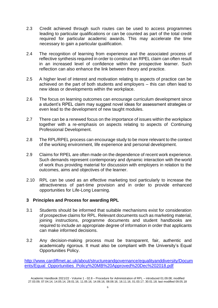- 2.3 Credit achieved through such routes can be used to access programmes leading to particular qualifications or can be counted as part of the total credit required for particular academic awards. This may accelerate the time necessary to gain a particular qualification.
- 2.4 The recognition of learning from experience and the associated process of reflective synthesis required in order to construct an RPEL claim can often result in an increased level of confidence within the prospective learner. Such reflection can also enhance the link between theory and practice.
- 2.5 A higher level of interest and motivation relating to aspects of practice can be achieved on the part of both students and employers – this can often lead to new ideas or developments within the workplace.
- 2.6 The focus on learning outcomes can encourage curriculum development since a student's RPEL claim may suggest novel ideas for assessment strategies or even lead to the development of new taught modules.
- 2.7 There can be a renewed focus on the importance of issues within the workplace together with a re-emphasis on aspects relating to aspects of Continuing Professional Development.
- 2.8 The RPL/RPEL process can encourage study to be more relevant to the context of the working environment, life experience and personal development.
- 2.9 Claims for RPEL are often made on the dependence of recent work experience. Such demands represent contemporary and dynamic interaction with the world of work thus providing material for discussion with employers in relation to the outcomes, aims and objectives of the learner.
- 2.10 RPL can be used as an effective marketing tool particularly to increase the attractiveness of part-time provision and in order to provide enhanced opportunities for Life-Long Learning.

# **3 Principles and Process for awarding RPL**

- 3.1 Students should be informed that suitable mechanisms exist for consideration of prospective claims for RPL. Relevant documents such as marketing material, joining instructions, programme documents and student handbooks are required to include an appropriate degree of information in order that applicants can make informed decisions.
- 3.2 Any decision-making process must be transparent, fair, authentic and academically rigorous. It must also be compliant with the University's Equal Opportunities Policy.

[http://www.cardiffmet.ac.uk/about/structureandgovernance/equalityanddiversity/Docum](http://www.cardiffmet.ac.uk/about/structureandgovernance/equalityanddiversity/Documents/Equal_Opportunities_Policy%20MB%20Approved%20Dec%202018.pdf) [ents/Equal\\_Opportunities\\_Policy%20MB%20Approved%20Dec%202018.pdf](http://www.cardiffmet.ac.uk/about/structureandgovernance/equalityanddiversity/Documents/Equal_Opportunities_Policy%20MB%20Approved%20Dec%202018.pdf)

Academic Handbook 2021/22 - Volume 1 - 02.8 – Procedure for Administration of RPL – introduced 01.09.08; modified 27.03.09, 07.04.14, 14.05.14, 28.01.16, 11.05.16, 14.06.16, 08.08.16, 16.11.16, 01.03.17, 30.01.18; last modified 09.05.18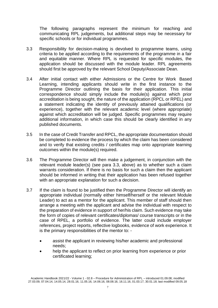The following paragraphs represent the minimum for reaching and communicating RPL judgements, but additional steps may be necessary for specific schools or for individual programmes.

- 3.3 Responsibility for decision-making is devolved to programme teams, using criteria to be applied according to the requirements of the programme in a fair and equitable manner. Where RPL is requested for specific modules, the application should be discussed with the module leader. RPL agreements should first be approved by the relevant School Deputy/Associate Dean.
- 3.4 After initial contact with either Admissions or the Centre for Work Based Learning, intending applicants should write in the first instance to the Programme Director outlining the basis for their application. This initial correspondence should simply include the module(s) against which prior accreditation is being sought, the nature of the application (RPCL or RPEL) and a statement indicating the identity of previously attained qualifications (or experience), together with the relevant academic level (where appropriate) against which accreditation will be judged. Specific programmes may require additional information, in which case this should be clearly identified in any published documents.
- 3.5 In the case of Credit Transfer and RPCL, the appropriate documentation should be completed to evidence the process by which the claim has been considered and to verify that existing credits / certificates map onto appropriate learning outcomes within the module(s) required.
- 3.6 The Programme Director will then make a judgement, in conjunction with the relevant module leader(s) (see para 3.3, above) as to whether such a claim warrants consideration. If there is no basis for such a claim then the applicant should be informed in writing that their application has been refused together with an appropriate explanation for such a decision.
- 3.7 If the claim is found to be justified then the Programme Director will identify an appropriate individual (normally either himself/herself or the relevant Module Leader) to act as a mentor for the applicant. This member of staff should then arrange a meeting with the applicant and advise the individual with respect to the preparation of evidence in support of her/his claim. Such evidence may take the form of copies of relevant certificates/diplomas/ course transcripts or in the case of RPEL, a portfolio of evidence. The latter could include employer references, project reports, reflective logbooks, evidence of work experience. It is the primary responsibilities of the mentor to: -
	- assist the applicant in reviewing his/her academic and professional needs;
	- help the applicant to reflect on prior learning from experience or prior certificated learning;

Academic Handbook 2021/22 - Volume 1 - 02.8 – Procedure for Administration of RPL – introduced 01.09.08; modified 27.03.09, 07.04.14, 14.05.14, 28.01.16, 11.05.16, 14.06.16, 08.08.16, 16.11.16, 01.03.17, 30.01.18; last modified 09.05.18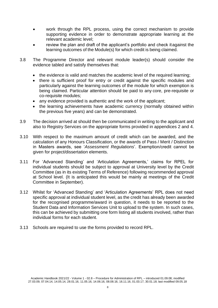- work through the RPL process, using the correct mechanism to provide supporting evidence in order to demonstrate appropriate learning at the relevant academic level;
- review the plan and draft of the applicant's portfolio and check it against the learning outcomes of the Module(s) for which credit is being claimed.
- 3.8 The Programme Director and relevant module leader(s) should consider the evidence tabled and satisfy themselves that:
	- the evidence is valid and matches the academic level of the required learning;
	- there is sufficient proof for entry or credit against the specific modules and particularly against the learning outcomes of the module for which exemption is being claimed. Particular attention should be paid to any core, pre-requisite or co-requisite modules;
	- any evidence provided is authentic and the work of the applicant;
	- the learning achievements have academic currency (normally obtained within the previous five years) and can be demonstrated.
- 3.9 The decision arrived at should then be communicated in writing to the applicant and also to Registry Services on the appropriate forms provided in appendices 2 and 4.
- 3.10 With respect to the maximum amount of credit which can be awarded, and the calculation of any Honours Classification, or the awards of Pass / Merit / Distinction in Masters awards, see '*Assessment Regulations*'. Exemption/credit cannot be given for project/dissertation elements.
- 3.11 For 'Advanced Standing' and 'Articulation Agreements,' claims for RPEL for individual students should be subject to approval at University level by the Credit Committee (as in its existing Terms of Reference) following recommended approval at School level. (It is anticipated this would be mainly at meetings of the Credit Committee in September).
- 3.12 Whilst for 'Advanced Standing' and 'Articulation Agreements' RPL does not need specific approval at individual student level, as the credit has already been awarded for the recognised programme/award in question, it needs to be reported to the Student Data and Information Services Unit to upload to the system. In such cases, this can be achieved by submitting one form listing all students involved, rather than individual forms for each student.
- 3.13 Schools are required to use the forms provided to record RPL.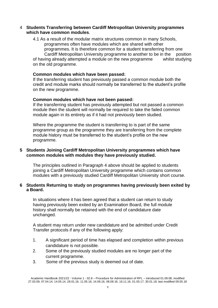### 4 **Students Transferring between Cardiff Metropolitan University programmes which have common modules**.

4.1 As a result of the modular matrix structures common in many Schools, programmes often have modules which are shared with other programmes. It is therefore common for a student transferring from one Cardiff Metropolitan University programme to another to be in the position of having already attempted a module on the new programme whilst studying on the old programme.

# **Common modules which have been passed:**

If the transferring student has previously passed a common module both the credit and module marks should normally be transferred to the student's profile on the new programme.

# **Common modules which have not been passed:**

If the transferring student has previously attempted but not passed a common module then the student will normally be required to take the failed common module again in its entirety as if it had not previously been studied.

Where the programme the student is transferring to is part of the same programme group as the programme they are transferring from the complete module history must be transferred to the student's profile on the new programme.

# **5 Students Joining Cardiff Metropolitan University programmes which have common modules with modules they have previously studied.**

The principles outlined in Paragraph 4 above should be applied to students joining a Cardiff Metropolitan University programme which contains common modules with a previously studied Cardiff Metropolitan University short course.

### **6 Students Returning to study on programmes having previously been exited by a Board.**

In situations where it has been agreed that a student can return to study having previously been exited by an Examination Board, the full module history shall normally be retained with the end of candidature date unchanged.

A student may return under new candidature and be admitted under Credit Transfer protocols if any of the following apply:

- 1. A significant period of time has elapsed and completion within previous candidature is not possible.
- 2. Some of the previously studied modules are no longer part of the current programme.
- 3. Some of the previous study is deemed out of date.

Academic Handbook 2021/22 - Volume 1 - 02.8 – Procedure for Administration of RPL – introduced 01.09.08; modified 27.03.09, 07.04.14, 14.05.14, 28.01.16, 11.05.16, 14.06.16, 08.08.16, 16.11.16, 01.03.17, 30.01.18; last modified 09.05.18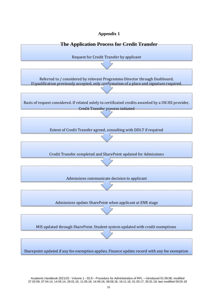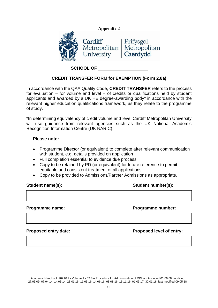

# **CREDIT TRANSFER FORM for EXEMPTION (Form 2.8a)**

In accordance with the QAA Quality Code, **CREDIT TRANSFER** refers to the process for evaluation – for volume and level – of credits or qualifications held by student applicants and awarded by a UK HE degree-awarding body\* in accordance with the relevant higher education qualifications framework, as they relate to the programme of study.

\*In determining equivalency of credit volume and level Cardiff Metropolitan University will use guidance from relevant agencies such as the UK National Academic Recognition Information Centre (UK NARIC).

# **Please note:**

- Programme Director (or equivalent) to complete after relevant communication with student, e.g. details provided on application
- Full completion essential to evidence due process
- Copy to be retained by PD (or equivalent) for future reference to permit equitable and consistent treatment of all applications
- Copy to be provided to Admissions/Partner Admissions as appropriate.

# **Student name(s): Student number(s):**

# **Programme name: Programme number:**

#### **Proposed entry date: Proposed level of entry:**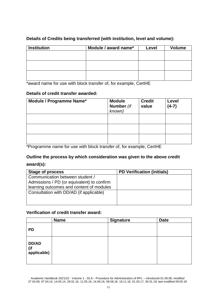| <b>Institution</b> | Module / award name* | Level | <b>Volume</b> |
|--------------------|----------------------|-------|---------------|
|                    |                      |       |               |
|                    |                      |       |               |
|                    |                      |       |               |
|                    |                      |       |               |
|                    |                      |       |               |
|                    |                      |       |               |

# **Details of Credits being transferred (with institution, level and volume):**

\*award name for use with block transfer of, for example, CertHE

# **Details of credit transfer awarded:**

| Module / Programme Name* | <b>Module</b><br>Number (if<br>known) | <b>Credit</b><br>value | Level<br>$(4-7)$ |
|--------------------------|---------------------------------------|------------------------|------------------|
|                          |                                       |                        |                  |
|                          |                                       |                        |                  |
|                          |                                       |                        |                  |

\*Programme name for use with block transfer of, for example, CertHE

# **Outline the process by which consideration was given to the above credit**

# **award(s):**

| <b>Stage of process</b>                    | <b>PD Verification (initials)</b> |
|--------------------------------------------|-----------------------------------|
| Communication between student /            |                                   |
| Admissions / PD (or equivalent) to confirm |                                   |
| learning outcomes and content of modules   |                                   |
| Consultation with DD/AD (if applicable)    |                                   |
|                                            |                                   |
|                                            |                                   |

# **Verification of credit transfer award:**

|                             | <b>Name</b> | <b>Signature</b> | <b>Date</b> |
|-----------------------------|-------------|------------------|-------------|
| <b>PD</b>                   |             |                  |             |
| DD/AD<br>(if<br>applicable) |             |                  |             |

Academic Handbook 2021/22 - Volume 1 - 02.8 – Procedure for Administration of RPL – introduced 01.09.08; modified 27.03.09, 07.04.14, 14.05.14, 28.01.16, 11.05.16, 14.06.16, 08.08.16, 16.11.16, 01.03.17, 30.01.18; last modified 09.05.18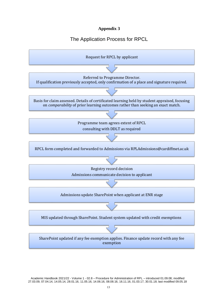# The Application Process for RPCL

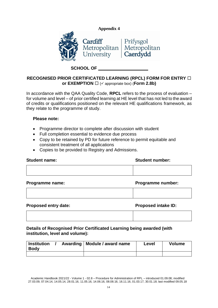



# **SCHOOL OF**

# **RECOGNISED PRIOR CERTIFICATED LEARNING (RPCL) FORM FOR ENTRY or EXEMPTION** □ (✓ appropriate box) (**Form 2.8b**)

In accordance with the QAA Quality Code, **RPCL** refers to the process of evaluation – for volume and level – of prior certified learning at HE level that has not led to the award of credits or qualifications positioned on the relevant HE qualifications framework, as they relate to the programme of study.

# **Please note:**

- Programme director to complete after discussion with student
- Full completion essential to evidence due process
- Copy to be retained by PD for future reference to permit equitable and consistent treatment of all applications
- Copies to be provided to Registry and Admissions.

| <b>Student name:</b> | <b>Student number:</b> |
|----------------------|------------------------|
|                      |                        |

**Programme name: Programme number:**

# **Proposed entry date: Proposed intake ID:**

**Details of Recognised Prior Certificated Learning being awarded (with institution, level and volume):**

| <b>Institution</b><br><b>Body</b> |  | Awarding   Module / award name | Level | <b>Volume</b> |
|-----------------------------------|--|--------------------------------|-------|---------------|
|                                   |  |                                |       |               |

Academic Handbook 2021/22 - Volume 1 - 02.8 – Procedure for Administration of RPL – introduced 01.09.08; modified 27.03.09, 07.04.14, 14.05.14, 28.01.16, 11.05.16, 14.06.16, 08.08.16, 16.11.16, 01.03.17, 30.01.18; last modified 09.05.18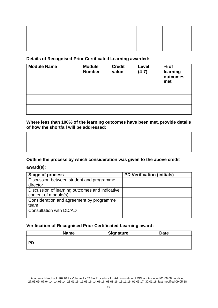# **Details of Recognised Prior Certificated Learning awarded:**

| <b>Module Name</b> | <b>Module</b><br><b>Number</b> | <b>Credit</b><br>value | Level<br>$(4-7)$ | $%$ of<br>learning<br>outcomes<br>met |
|--------------------|--------------------------------|------------------------|------------------|---------------------------------------|
|                    |                                |                        |                  |                                       |
|                    |                                |                        |                  |                                       |
|                    |                                |                        |                  |                                       |

# **Where less than 100% of the learning outcomes have been met, provide details of how the shortfall will be addressed:**

# **Outline the process by which consideration was given to the above credit**

# **award(s):**

| <b>Stage of process</b>                        | <b>PD Verification (initials)</b> |
|------------------------------------------------|-----------------------------------|
| Discussion between student and programme       |                                   |
| director                                       |                                   |
| Discussion of learning outcomes and indicative |                                   |
| content of module(s)                           |                                   |
| Consideration and agreement by programme       |                                   |
| team                                           |                                   |
| Consultation with DD/AD                        |                                   |
|                                                |                                   |

# **Verification of Recognised Prior Certificated Learning award:**

|           | <b>Name</b> | <b>Signature</b> | <b>Date</b> |
|-----------|-------------|------------------|-------------|
| <b>PD</b> |             |                  |             |
|           |             |                  |             |

Academic Handbook 2021/22 - Volume 1 - 02.8 – Procedure for Administration of RPL – introduced 01.09.08; modified 27.03.09, 07.04.14, 14.05.14, 28.01.16, 11.05.16, 14.06.16, 08.08.16, 16.11.16, 01.03.17, 30.01.18; last modified 09.05.18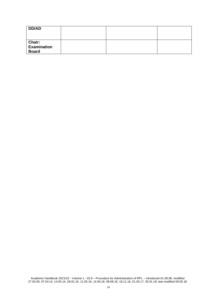| DD/AD                                         |  |  |
|-----------------------------------------------|--|--|
| <b>Chair:<br/>Examination</b><br><b>Board</b> |  |  |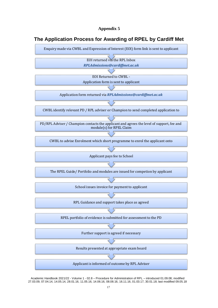# **The Application Process for Awarding of RPEL by Cardiff Met**



Academic Handbook 2021/22 - Volume 1 - 02.8 – Procedure for Administration of RPL – introduced 01.09.08; modified 27.03.09, 07.04.14, 14.05.14, 28.01.16, 11.05.16, 14.06.16, 08.08.16, 16.11.16, 01.03.17, 30.01.18; last modified 09.05.18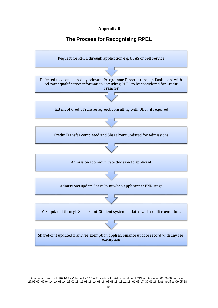# **The Process for Recognising RPEL**

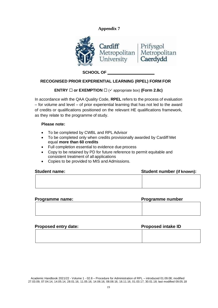

**SCHOOL OF**

# **RECOGNISED PRIOR EXPERIENTIAL LEARNING (RPEL) FORM FOR**

#### **ENTRY**  $\Box$  or **EXEMPTION**  $\Box$  ( $\checkmark$  appropriate box) (Form 2.8c)

In accordance with the QAA Quality Code, **RPEL** refers to the process of evaluation – for volume and level – of prior experiential learning that has not led to the award of credits or qualifications positioned on the relevant HE qualifications framework, as they relate to the programme of study.

#### **Please note:**

- To be completed by CWBL and RPL Advisor
- To be completed only when credits provisionally awarded by Cardiff Met equal **more than 60 credits**
- Full completion essential to evidence due process
- Copy to be retained by PD for future reference to permit equitable and consistent treatment of all applications
- Copies to be provided to MIS and Admissions.

| <b>Student name:</b> | Student number (if known): |  |
|----------------------|----------------------------|--|
|                      |                            |  |
|                      |                            |  |

| <b>Programme number</b><br>Programme name: |  |
|--------------------------------------------|--|
|                                            |  |
|                                            |  |
|                                            |  |

| <b>Proposed entry date:</b> | <b>Proposed intake ID</b> |  |
|-----------------------------|---------------------------|--|
|                             |                           |  |
|                             |                           |  |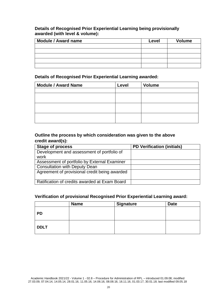# **Details of Recognised Prior Experiential Learning being provisionally awarded (with level & volume):**

| <b>Module / Award name</b> | Level | <b>Volume</b> |
|----------------------------|-------|---------------|
|                            |       |               |
|                            |       |               |
|                            |       |               |
|                            |       |               |
|                            |       |               |

# **Details of Recognised Prior Experiential Learning awarded:**

| <b>Module / Award Name</b> | Level | <b>Volume</b> |
|----------------------------|-------|---------------|
|                            |       |               |
|                            |       |               |
|                            |       |               |
|                            |       |               |
|                            |       |               |
|                            |       |               |
|                            |       |               |

# **Outline the process by which consideration was given to the above credit award(s):**

| <b>Stage of process</b>                       | <b>PD Verification (initials)</b> |
|-----------------------------------------------|-----------------------------------|
| Development and assessment of portfolio of    |                                   |
| work                                          |                                   |
| Assessment of portfolio by External Examiner  |                                   |
| <b>Consultation with Deputy Dean</b>          |                                   |
| Agreement of provisional credit being awarded |                                   |
| Ratification of credits awarded at Exam Board |                                   |

# **Verification of provisional Recognised Prior Experiential Learning award:**

|             | <b>Name</b> | <b>Signature</b> | <b>Date</b> |
|-------------|-------------|------------------|-------------|
| <b>PD</b>   |             |                  |             |
| <b>DDLT</b> |             |                  |             |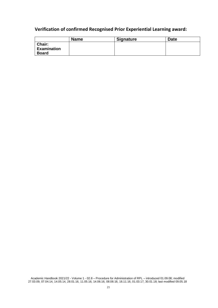# **Verification of confirmed Recognised Prior Experiential Learning award:**

|                                              | <b>Name</b> | <b>Signature</b> | <b>Date</b> |
|----------------------------------------------|-------------|------------------|-------------|
| Chair:<br><b>Examination</b><br><b>Board</b> |             |                  |             |